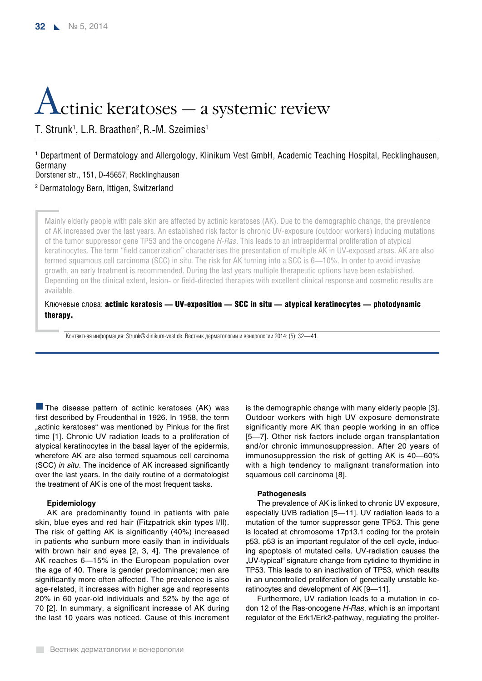# Actinic keratoses — a systemic review

T. Strunk<sup>1</sup>, L.R. Braathen<sup>2</sup>, R.-M. Szeimies<sup>1</sup>

1 Department of Dermatology and Allergology, Klinikum Vest GmbH, Academic Teaching Hospital, Recklinghausen, Germany Dorstener str., 151, D-45657, Recklinghausen

2 Dermatology Bern, Ittigen, Switzerland

Mainly elderly people with pale skin are affected by actinic keratoses (AK). Due to the demographic change, the prevalence of AK increased over the last years. An established risk factor is chronic UV-exposure (outdoor workers) inducing mutations of the tumor suppressor gene TP53 and the oncogene *H-ras*. This leads to an intraepidermal proliferation of atypical keratinocytes. The term "field cancerization" characterises the presentation of multiple AK in UV-exposed areas. AK are also termed squamous cell carcinoma (SCC) in situ. The risk for AK turning into a SCC is 6—10%. In order to avoid invasive growth, an early treatment is recommended. During the last years multiple therapeutic options have been established. Depending on the clinical extent, lesion- or field-directed therapies with excellent clinical response and cosmetic results are available.

# Ключевые слова: **actinic keratosis — UV-exposition — SCC in situ — atypical keratinocytes — photodynamic** therapy.

Контактная информация: Strunk@klinikum-vest.de. Вестник дерматологии и венерологии 2014; (5): 32—41.

 $\blacksquare$  The disease pattern of actinic keratoses (AK) was first described by Freudenthal in 1926. In 1958, the term "actinic keratoses" was mentioned by Pinkus for the first time [1]. Chronic UV radiation leads to a proliferation of atypical keratinocytes in the basal layer of the epidermis, wherefore AK are also termed squamous cell carcinoma (SCC) *in situ*. The incidence of AK increased significantly over the last years. In the daily routine of a dermatologist the treatment of AK is one of the most frequent tasks.

# **Epidemiology**

AK are predominantly found in patients with pale skin, blue eyes and red hair (Fitzpatrick skin types I/II). The risk of getting AK is significantly (40%) increased in patients who sunburn more easily than in individuals with brown hair and eyes [2, 3, 4]. The prevalence of AK reaches 6—15% in the European population over the age of 40. There is gender predominance; men are significantly more often affected. The prevalence is also age-related, it increases with higher age and represents 20% in 60 year-old individuals and 52% by the age of 70 [2]. In summary, a significant increase of AK during the last 10 years was noticed. Cause of this increment is the demographic change with many elderly people [3]. Outdoor workers with high UV exposure demonstrate significantly more AK than people working in an office [5—7]. Other risk factors include organ transplantation and/or chronic immunosuppression. After 20 years of immunosuppression the risk of getting AK is 40—60% with a high tendency to malignant transformation into squamous cell carcinoma [8].

# **Pathogenesis**

The prevalence of AK is linked to chronic UV exposure, especially UVB radiation [5—11]. UV radiation leads to a mutation of the tumor suppressor gene TP53. This gene is located at chromosome 17p13.1 coding for the protein p53. p53 is an important regulator of the cell cycle, inducing apoptosis of mutated cells. UV-radiation causes the "UV-typical" signature change from cytidine to thymidine in TP53. This leads to an inactivation of TP53, which results in an uncontrolled proliferation of genetically unstable keratinocytes and development of AK [9—11].

Furthermore, UV radiation leads to a mutation in codon 12 of the Ras-oncogene *H-Ras*, which is an important regulator of the Erk1/Erk2-pathway, regulating the prolifer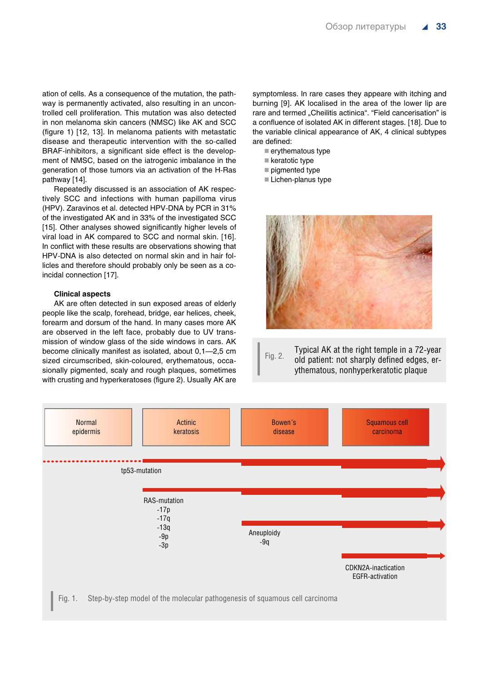ation of cells. As a consequence of the mutation, the pathway is permanently activated, also resulting in an uncontrolled cell proliferation. This mutation was also detected in non melanoma skin cancers (NMSC) like AK and SCC (figure 1) [12, 13]. In melanoma patients with metastatic disease and therapeutic intervention with the so-called BRAF-inhibitors, a significant side effect is the development of NMSC, based on the iatrogenic imbalance in the generation of those tumors via an activation of the H-Ras pathway [14].

Repeatedly discussed is an association of AK respectively SCC and infections with human papilloma virus (HPV). Zaravinos et al. detected HPV-DNA by PCR in 31% of the investigated AK and in 33% of the investigated SCC [15]. Other analyses showed significantly higher levels of viral load in AK compared to SCC and normal skin. [16]. In conflict with these results are observations showing that HPV-DNA is also detected on normal skin and in hair follicles and therefore should probably only be seen as a coincidal connection [17].

# **Clinical aspects**

AK are often detected in sun exposed areas of elderly people like the scalp, forehead, bridge, ear helices, cheek, forearm and dorsum of the hand. In many cases more AK are observed in the left face, probably due to UV transmission of window glass of the side windows in cars. AK become clinically manifest as isolated, about 0,1—2,5 cm sized circumscribed, skin-coloured, erythematous, occasionally pigmented, scaly and rough plaques, sometimes with crusting and hyperkeratoses (figure 2). Usually AK are symptomless. In rare cases they appeare with itching and burning [9]. AK localised in the area of the lower lip are rare and termed "Cheilitis actinica". "Field cancerisation" is a confluence of isolated AK in different stages. [18]. Due to the variable clinical appearance of AK, 4 clinical subtypes are defined:

- erythematous type
- keratotic type
- pigmented type
- Lichen-planus type



# Fig. 2. Typical AK at the right temple in a 72-year old patient: not sharply defined edges, erythematous, nonhyperkeratotic plaque

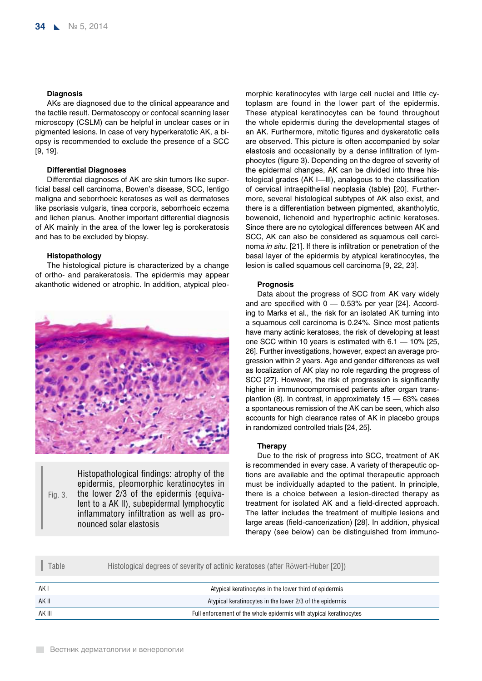# **Diagnosis**

AKs are diagnosed due to the clinical appearance and the tactile result. Dermatoscopy or confocal scanning laser microscopy (CSLM) can be helpful in unclear cases or in pigmented lesions. In case of very hyperkeratotic AK, a biopsy is recommended to exclude the presence of a SCC [9, 19].

# **Differential Diagnoses**

Differential diagnoses of AK are skin tumors like superficial basal cell carcinoma, Bowen's disease, SCC, lentigo maligna and seborrhoeic keratoses as well as dermatoses like psoriasis vulgaris, tinea corporis, seborrhoeic eczema and lichen planus. Another important differential diagnosis of AK mainly in the area of the lower leg is porokeratosis and has to be excluded by biopsy.

#### **Histopathology**

The histological picture is characterized by a change of ortho- and parakeratosis. The epidermis may appear akanthotic widened or atrophic. In addition, atypical pleo-



Fig. 3.

Histopathological findings: atrophy of the epidermis, pleomorphic keratinocytes in the lower 2/3 of the epidermis (equivalent to a AK II), subepidermal lymphocytic inflammatory infiltration as well as pronounced solar elastosis

morphic keratinocytes with large cell nuclei and little cytoplasm are found in the lower part of the epidermis. These atypical keratinocytes can be found throughout the whole epidermis during the developmental stages of an AK. Furthermore, mitotic figures and dyskeratotic cells are observed. This picture is often accompanied by solar elastosis and occasionally by a dense infiltration of lymphocytes (figure 3). Depending on the degree of severity of the epidermal changes, AK can be divided into three histological grades (AK I—III), analogous to the classification of cervical intraepithelial neoplasia (table) [20]. Furthermore, several histological subtypes of AK also exist, and there is a differentiation between pigmented, akantholytic, bowenoid, lichenoid and hypertrophic actinic keratoses. Since there are no cytological differences between AK and SCC, AK can also be considered as squamous cell carcinoma *in situ*. [21]. If there is infiltration or penetration of the basal layer of the epidermis by atypical keratinocytes, the lesion is called squamous cell carcinoma [9, 22, 23].

# **Prognosis**

Data about the progress of SCC from AK vary widely and are specified with  $0 - 0.53\%$  per year [24]. According to Marks et al., the risk for an isolated AK turning into a squamous cell carcinoma is 0.24%. Since most patients have many actinic keratoses, the risk of developing at least one SCC within 10 years is estimated with 6.1 — 10% [25, 26]. Further investigations, however, expect an average progression within 2 years. Age and gender differences as well as localization of AK play no role regarding the progress of SCC [27]. However, the risk of progression is significantly higher in immunocompromised patients after organ transplantion (8). In contrast, in approximately 15 — 63% cases a spontaneous remission of the AK can be seen, which also accounts for high clearance rates of AK in placebo groups in randomized controlled trials [24, 25].

#### **Therapy**

Due to the risk of progress into SCC, treatment of AK is recommended in every case. A variety of therapeutic options are available and the optimal therapeutic approach must be individually adapted to the patient. In principle, there is a choice between a lesion-directed therapy as treatment for isolated AK and a field-directed approach. The latter includes the treatment of multiple lesions and large areas (field-cancerization) [28]. In addition, physical therapy (see below) can be distinguished from immuno-

| Table  | Histological degrees of severity of actinic keratoses (after Röwert-Huber [20]) |
|--------|---------------------------------------------------------------------------------|
| AK I   | Atypical keratinocytes in the lower third of epidermis                          |
| AK II  | Atypical keratinocytes in the lower 2/3 of the epidermis                        |
| AK III | Full enforcement of the whole epidermis with atypical keratinocytes             |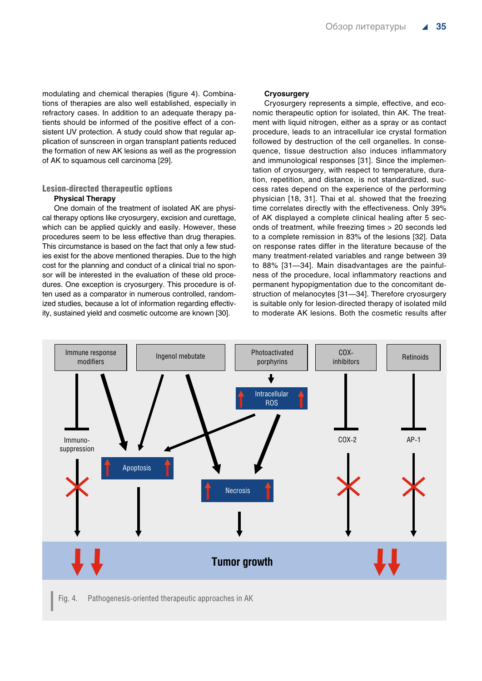modulating and chemical therapies (figure 4). Combinations of therapies are also well established, especially in refractory cases. In addition to an adequate therapy patients should be informed of the positive effect of a consistent UV protection. A study could show that regular application of sunscreen in organ transplant patients reduced the formation of new AK lesions as well as the progression of AK to squamous cell carcinoma [29].

# Lesion-directed therapeutic options

# **Physical Therapy**

One domain of the treatment of isolated AK are physical therapy options like cryosurgery, excision and curettage, which can be applied quickly and easily. However, these procedures seem to be less effective than drug therapies. This circumstance is based on the fact that only a few studies exist for the above mentioned therapies. Due to the high cost for the planning and conduct of a clinical trial no sponsor will be interested in the evaluation of these old procedures. One exception is cryosurgery. This procedure is often used as a comparator in numerous controlled, randomized studies, because a lot of information regarding effectivity, sustained yield and cosmetic outcome are known [30].

#### **Cryosurgery**

Cryosurgery represents a simple, effective, and economic therapeutic option for isolated, thin AK. The treatment with liquid nitrogen, either as a spray or as contact procedure, leads to an intracellular ice crystal formation followed by destruction of the cell organelles. In consequence, tissue destruction also induces inflammatory and immunological responses [31]. Since the implementation of cryosurgery, with respect to temperature, duration, repetition, and distance, is not standardized, success rates depend on the experience of the performing physician [18, 31]. Thai et al. showed that the freezing time correlates directly with the effectiveness. Only 39% of AK displayed a complete clinical healing after 5 seconds of treatment, while freezing times > 20 seconds led to a complete remission in 83% of the lesions [32]. Data on response rates differ in the literature because of the many treatment-related variables and range between 39 to 88% [31—34]. Main disadvantages are the painfulness of the procedure, local inflammatory reactions and permanent hypopigmentation due to the concomitant destruction of melanocytes [31—34]. Therefore cryosurgery is suitable only for lesion-directed therapy of isolated mild to moderate AK lesions. Both the cosmetic results after

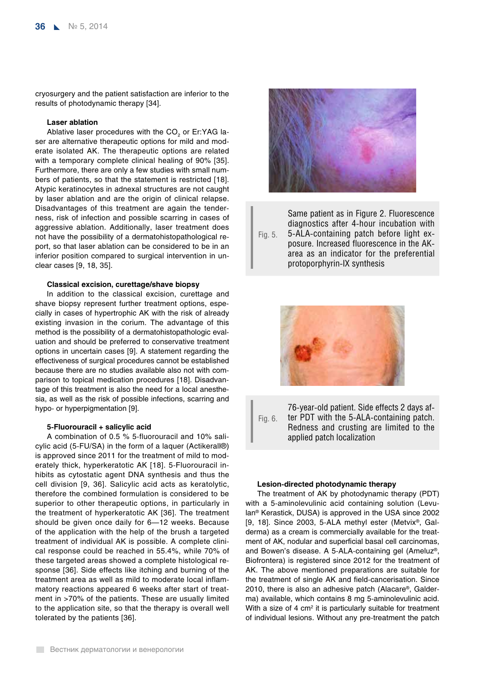cryosurgery and the patient satisfaction are inferior to the results of photodynamic therapy [34].

# **Laser ablation**

Ablative laser procedures with the  $CO<sub>2</sub>$  or Er:YAG laser are alternative therapeutic options for mild and moderate isolated AK. The therapeutic options are related with a temporary complete clinical healing of 90% [35]. Furthermore, there are only a few studies with small numbers of patients, so that the statement is restricted [18]. Atypic keratinocytes in adnexal structures are not caught by laser ablation and are the origin of clinical relapse. Disadvantages of this treatment are again the tenderness, risk of infection and possible scarring in cases of aggressive ablation. Additionally, laser treatment does not have the possibility of a dermatohistopathological report, so that laser ablation can be considered to be in an inferior position compared to surgical intervention in unclear cases [9, 18, 35].

# **Classical excision, curettage/shave biopsy**

In addition to the classical excision, curettage and shave biopsy represent further treatment options, especially in cases of hypertrophic AK with the risk of already existing invasion in the corium. The advantage of this method is the possibility of a dermatohistopathologic evaluation and should be preferred to conservative treatment options in uncertain cases [9]. A statement regarding the effectiveness of surgical procedures cannot be established because there are no studies available also not with comparison to topical medication procedures [18]. Disadvantage of this treatment is also the need for a local anesthesia, as well as the risk of possible infections, scarring and hypo- or hyperpigmentation [9].

# **5-Fluorouracil + salicylic acid**

A combination of 0.5 % 5-fluorouracil and 10% salicylic acid (5-FU/SA) in the form of a laquer (Actikerall®) is approved since 2011 for the treatment of mild to moderately thick, hyperkeratotic AK [18]. 5-Fluorouracil inhibits as cytostatic agent DNA synthesis and thus the cell division [9, 36]. Salicylic acid acts as keratolytic, therefore the combined formulation is considered to be superior to other therapeutic options, in particularly in the treatment of hyperkeratotic AK [36]. The treatment should be given once daily for 6—12 weeks. Because of the application with the help of the brush a targeted treatment of individual AK is possible. A complete clinical response could be reached in 55.4%, while 70% of these targeted areas showed a complete histological response [36]. Side effects like itching and burning of the treatment area as well as mild to moderate local inflammatory reactions appeared 6 weeks after start of treatment in >70% of the patients. These are usually limited to the application site, so that the therapy is overall well tolerated by the patients [36].



Fig. 5. Same patient as in Figure 2. Fluorescence diagnostics after 4-hour incubation with 5-ALA-containing patch before light exposure. Increased fluorescence in the AKarea as an indicator for the preferential protoporphyrin-IX synthesis





#### **Lesion-directed photodynamic therapy**

The treatment of AK by photodynamic therapy (PDT) with a 5-aminolevulinic acid containing solution (Levulan® Kerastick, DUSA) is approved in the USA since 2002 [9, 18]. Since 2003, 5-ALA methyl ester (Metvix®, Galderma) as a cream is commercially available for the treatment of AK, nodular and superficial basal cell carcinomas, and Bowen's disease. A 5-ALA-containing gel (Ameluz®, Biofrontera) is registered since 2012 for the treatment of AK. The above mentioned preparations are suitable for the treatment of single AK and field-cancerisation. Since 2010, there is also an adhesive patch (Alacare®, Galderma) available, which contains 8 mg 5-aminolevulinic acid. With a size of 4  $\text{cm}^2$  it is particularly suitable for treatment of individual lesions. Without any pre-treatment the patch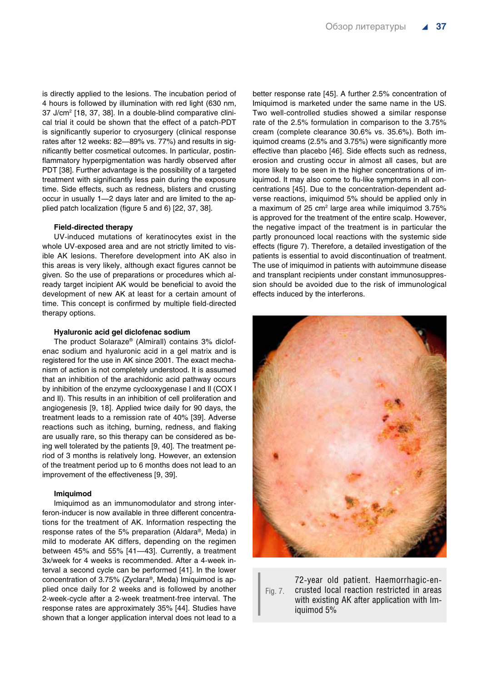is directly applied to the lesions. The incubation period of 4 hours is followed by illumination with red light (630 nm, 37 J/cm2 [18, 37, 38]. In a double-blind comparative clinical trial it could be shown that the effect of a patch-PDT is significantly superior to cryosurgery (clinical response rates after 12 weeks: 82—89% vs. 77%) and results in significantly better cosmetical outcomes. In particular, postinflammatory hyperpigmentation was hardly observed after PDT [38]. Further advantage is the possibility of a targeted treatment with significantly less pain during the exposure time. Side effects, such as redness, blisters and crusting occur in usually 1—2 days later and are limited to the applied patch localization (figure 5 and 6) [22, 37, 38].

## **Field-directed therapy**

UV-induced mutations of keratinocytes exist in the whole UV-exposed area and are not strictly limited to visible AK lesions. Therefore development into AK also in this areas is very likely, although exact figures cannot be given. So the use of preparations or procedures which already target incipient AK would be beneficial to avoid the development of new AK at least for a certain amount of time. This concept is confirmed by multiple field-directed therapy options.

#### **Hyaluronic acid gel diclofenac sodium**

The product Solaraze® (Almirall) contains 3% diclofenac sodium and hyaluronic acid in a gel matrix and is registered for the use in AK since 2001. The exact mechanism of action is not completely understood. It is assumed that an inhibition of the arachidonic acid pathway occurs by inhibition of the enzyme cyclooxygenase I and II (COX I and II). This results in an inhibition of cell proliferation and angiogenesis [9, 18]. Applied twice daily for 90 days, the treatment leads to a remission rate of 40% [39]. Adverse reactions such as itching, burning, redness, and flaking are usually rare, so this therapy can be considered as being well tolerated by the patients [9, 40]. The treatment period of 3 months is relatively long. However, an extension of the treatment period up to 6 months does not lead to an improvement of the effectiveness [9, 39].

# **Imiquimod**

Imiquimod as an immunomodulator and strong interferon-inducer is now available in three different concentrations for the treatment of AK. Information respecting the response rates of the 5% preparation (Aldara®, Meda) in mild to moderate AK differs, depending on the regimen between 45% and 55% [41—43]. Currently, a treatment 3x/week for 4 weeks is recommended. After a 4-week interval a second cycle can be performed [41]. In the lower concentration of 3.75% (Zyclara®, Meda) Imiquimod is applied once daily for 2 weeks and is followed by another 2-week-cycle after a 2-week treatment-free interval. The response rates are approximately 35% [44]. Studies have shown that a longer application interval does not lead to a better response rate [45]. A further 2.5% concentration of Imiquimod is marketed under the same name in the US. Two well-controlled studies showed a similar response rate of the 2.5% formulation in comparison to the 3.75% cream (complete clearance 30.6% vs. 35.6%). Both imiquimod creams (2.5% and 3.75%) were significantly more effective than placebo [46]. Side effects such as redness, erosion and crusting occur in almost all cases, but are more likely to be seen in the higher concentrations of imiquimod. It may also come to flu-like symptoms in all concentrations [45]. Due to the concentration-dependent adverse reactions, imiquimod 5% should be applied only in a maximum of 25 cm<sup>2</sup> large area while imiquimod 3.75% is approved for the treatment of the entire scalp. However, the negative impact of the treatment is in particular the partly pronounced local reactions with the systemic side effects (figure 7). Therefore, a detailed investigation of the patients is essential to avoid discontinuation of treatment. The use of imiquimod in patients with autoimmune disease and transplant recipients under constant immunosuppression should be avoided due to the risk of immunological effects induced by the interferons.



Fig. 7. 72-year old patient. Haemorrhagic-encrusted local reaction restricted in areas with existing AK after application with Imiquimod 5%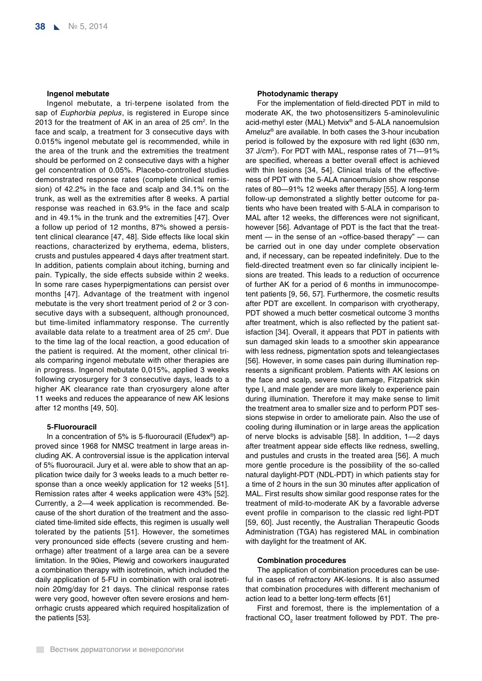#### **Ingenol mebutate**

Ingenol mebutate, a tri-terpene isolated from the sap of *Euphorbia peplus*, is registered in Europe since 2013 for the treatment of AK in an area of 25  $cm<sup>2</sup>$ . In the face and scalp, a treatment for 3 consecutive days with 0.015% ingenol mebutate gel is recommended, while in the area of the trunk and the extremities the treatment should be performed on 2 consecutive days with a higher gel concentration of 0.05%. Placebo-controlled studies demonstrated response rates (complete clinical remission) of 42.2% in the face and scalp and 34.1% on the trunk, as well as the extremities after 8 weeks. A partial response was reached in 63.9% in the face and scalp and in 49.1% in the trunk and the extremities [47]. Over a follow up period of 12 months, 87% showed a persistent clinical clearance [47, 48]. Side effects like local skin reactions, characterized by erythema, edema, blisters, crusts and pustules appeared 4 days after treatment start. In addition, patients complain about itching, burning and pain. Typically, the side effects subside within 2 weeks. In some rare cases hyperpigmentations can persist over months [47]. Advantage of the treatment with ingenol mebutate is the very short treatment period of 2 or 3 consecutive days with a subsequent, although pronounced, but time-limited inflammatory response. The currently available data relate to a treatment area of 25 cm<sup>2</sup>. Due to the time lag of the local reaction, a good education of the patient is required. At the moment, other clinical trials comparing ingenol mebutate with other therapies are in progress. Ingenol mebutate 0,015%, applied 3 weeks following cryosurgery for 3 consecutive days, leads to a higher AK clearance rate than cryosurgery alone after 11 weeks and reduces the appearance of new AK lesions after 12 months [49, 50].

#### **5-Fluorouracil**

In a concentration of 5% is 5-fluorouracil (Efudex®) approved since 1968 for NMSC treatment in large areas including AK. A controversial issue is the application interval of 5% fluorouracil. Jury et al. were able to show that an application twice daily for 3 weeks leads to a much better response than a once weekly application for 12 weeks [51]. Remission rates after 4 weeks application were 43% [52]. Currently, a 2—4 week application is recommended. Because of the short duration of the treatment and the associated time-limited side effects, this regimen is usually well tolerated by the patients [51]. However, the sometimes very pronounced side effects (severe crusting and hemorrhage) after treatment of a large area can be a severe limitation. In the 90ies, Plewig and coworkers inaugurated a combination therapy with isotretinoin, which included the daily application of 5-FU in combination with oral isotretinoin 20mg/day for 21 days. The clinical response rates were very good, however often severe erosions and hemorrhagic crusts appeared which required hospitalization of the patients [53].

#### **Photodynamic therapy**

For the implementation of field-directed PDT in mild to moderate AK, the two photosensitizers 5-aminolevulinic acid-methyl ester (MAL) Metvix® and 5-ALA nanoemulsion Ameluz® are available. In both cases the 3-hour incubation period is followed by the exposure with red light (630 nm, 37 J/cm2 ). For PDT with MAL, response rates of 71—91% are specified, whereas a better overall effect is achieved with thin lesions [34, 54]. Clinical trials of the effectiveness of PDT with the 5-ALA nanoemulsion show response rates of 80—91% 12 weeks after therapy [55]. A long-term follow-up demonstrated a slightly better outcome for patients who have been treated with 5-ALA in comparison to MAL after 12 weeks, the differences were not significant, however [56]. Advantage of PDT is the fact that the treatment — in the sense of an «office-based therapy" — can be carried out in one day under complete observation and, if necessary, can be repeated indefinitely. Due to the field-directed treatment even so far clinically incipient lesions are treated. This leads to a reduction of occurrence of further AK for a period of 6 months in immunocompetent patients [9, 56, 57]. Furthermore, the cosmetic results after PDT are excellent. In comparison with cryotherapy, PDT showed a much better cosmetical outcome 3 months after treatment, which is also reflected by the patient satisfaction [34]. Overall, it appears that PDT in patients with sun damaged skin leads to a smoother skin appearance with less redness, pigmentation spots and teleangiectases [56]. However, in some cases pain during illumination represents a significant problem. Patients with AK lesions on the face and scalp, severe sun damage, Fitzpatrick skin type I, and male gender are more likely to experience pain during illumination. Therefore it may make sense to limit the treatment area to smaller size and to perform PDT sessions stepwise in order to ameliorate pain. Also the use of cooling during illumination or in large areas the application of nerve blocks is advisable [58]. In addition, 1—2 days after treatment appear side effects like redness, swelling, and pustules and crusts in the treated area [56]. A much more gentle procedure is the possibility of the so-called natural daylight-PDT (NDL-PDT) in which patients stay for a time of 2 hours in the sun 30 minutes after application of MAL. First results show similar good response rates for the treatment of mild-to-moderate AK by a favorable adverse event profile in comparison to the classic red light-PDT [59, 60]. Just recently, the Australian Therapeutic Goods Administration (TGA) has registered MAL in combination with daylight for the treatment of AK.

# **Combination procedures**

The application of combination procedures can be useful in cases of refractory AK-lesions. It is also assumed that combination procedures with different mechanism of action lead to a better long-term effects [61]

First and foremost, there is the implementation of a fractional  $CO<sub>2</sub>$  laser treatment followed by PDT. The pre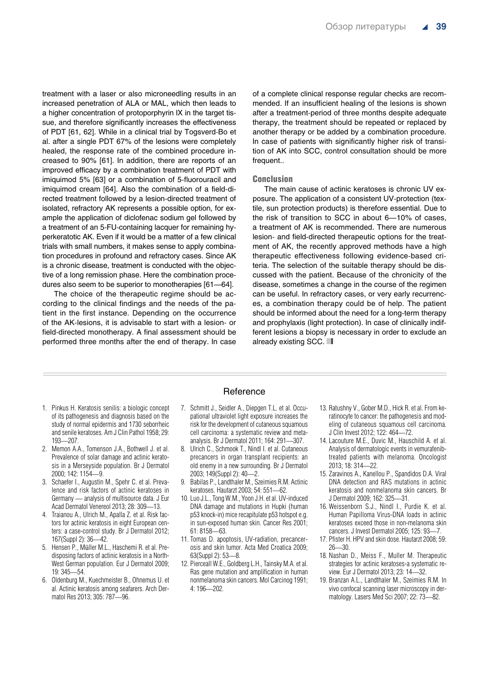treatment with a laser or also microneedling results in an increased penetration of ALA or MAL, which then leads to a higher concentration of protoporphyrin IX in the target tissue, and therefore significantly increases the effectiveness of PDT [61, 62]. While in a clinical trial by Togsverd-Bo et al. after a single PDT 67% of the lesions were completely healed, the response rate of the combined procedure increased to 90% [61]. In addition, there are reports of an improved efficacy by a combination treatment of PDT with imiquimod 5% [63] or a combination of 5-fluorouracil and imiquimod cream [64]. Also the combination of a field-directed treatment followed by a lesion-directed treatment of isolated, refractory AK represents a possible option, for example the application of diclofenac sodium gel followed by a treatment of an 5-FU-containing lacquer for remaining hyperkeratotic AK. Even if it would be a matter of a few clinical trials with small numbers, it makes sense to apply combination procedures in profound and refractory cases. Since AK is a chronic disease, treatment is conducted with the objective of a long remission phase. Here the combination procedures also seem to be superior to monotherapies [61—64].

The choice of the therapeutic regime should be according to the clinical findings and the needs of the patient in the first instance. Depending on the occurrence of the AK-lesions, it is advisable to start with a lesion- or field-directed monotherapy. A final assessment should be performed three months after the end of therapy. In case of a complete clinical response regular checks are recommended. If an insufficient healing of the lesions is shown after a treatment-period of three months despite adequate therapy, the treatment should be repeated or replaced by another therapy or be added by a combination procedure. In case of patients with significantly higher risk of transition of AK into SCC, control consultation should be more frequent..

#### Conclusion

The main cause of actinic keratoses is chronic UV exposure. The application of a consistent UV-protection (textile, sun protection products) is therefore essential. Due to the risk of transition to SCC in about 6—10% of cases, a treatment of AK is recommended. There are numerous lesion- and field-directed therapeutic options for the treatment of AK, the recently approved methods have a high therapeutic effectiveness following evidence-based criteria. The selection of the suitable therapy should be discussed with the patient. Because of the chronicity of the disease, sometimes a change in the course of the regimen can be useful. In refractory cases, or very early recurrences, a combination therapy could be of help. The patient should be informed about the need for a long-term therapy and prophylaxis (light protection). In case of clinically indifferent lesions a biopsy is necessary in order to exclude an already existing SCC.

- 1. Pinkus H. Keratosis senilis: a biologic concept of its pathogenesis and diagnosis based on the study of normal epidermis and 1730 seborrheic and senile keratoses. Am J Clin Pathol 1958; 29: 193—207.
- 2. Memon A.A., Tomenson J.A., Bothwell J. et al. Prevalence of solar damage and actinic keratosis in a Merseyside population. Br J Dermatol 2000; 142: 1154—9.
- 3. Schaefer I., Augustin M., Spehr C. et al. Prevalence and risk factors of actinic keratoses in Germany — analysis of multisource data. J Eur Acad Dermatol Venereol 2013; 28: 309—13.
- 4. Traianou A., Ulrich M., Apalla Z. et al. Risk factors for actinic keratosis in eight European centers: a case-control study. Br J Dermatol 2012; 167(Suppl 2): 36—42.
- 5. Hensen P., Müller M.L., Haschemi R. et al. Predisposing factors of actinic keratosis in a North-West German population. Eur J Dermatol 2009; 19: 345—54.
- 6. Oldenburg M., Kuechmeister B., Ohnemus U. et al. Actinic keratosis among seafarers. Arch Dermatol Res 2013; 305: 787—96.

# Reference

- 7. Schmitt J., Seidler A., Diepgen T.L. et al. Occupational ultraviolet light exposure increases the risk for the development of cutaneous squamous cell carcinoma: a systematic review and metaanalysis. Br J Dermatol 2011; 164: 291—307.
- 8. Ulrich C., Schmook T., Nindl I. et al. Cutaneous precancers in organ transplant recipients: an old enemy in a new surrounding. Br J Dermatol 2003; 149(Suppl 2): 40—2.
- 9. Babilas P., Landthaler M., Szeimies R.M. Actinic keratoses. Hautarzt 2003; 54: 551—62.
- 10. Luo J.L., Tong W.M., Yoon J.H. et al. UV-induced DNA damage and mutations in Hupki (human p53 knock-in) mice recapitulate p53 hotspot e.g. in sun-exposed human skin. Cancer Res 2001; 61: 8158—63.
- 11. Tomas D. apoptosis, UV-radiation, precancerosis and skin tumor. Acta Med Croatica 2009; 63(Suppl 2): 53—8.
- 12. Pierceall W.E., Goldberg L.H., Tainsky M.A. etal. Ras gene mutation and amplification in human nonmelanoma skin cancers. Mol Carcinog 1991; 4: 196—202.
- 13. Ratushny V., Gober M.D., Hick R. et al. From keratinocyte to cancer: the pathogenesis and modeling of cutaneous squamous cell carcinoma. J Clin Invest 2012; 122: 464—72.
- 14. Lacouture M.E., Duvic M., Hauschild A. et al. Analysis of dermatologic events in vemurafenibtreated patients with melanoma. Oncologist 2013; 18: 314—22.
- 15. Zaravinos A., Kanellou P., Spandidos D.A. Viral DNA detection and RAS mutations in actinic keratosis and nonmelanoma skin cancers. Br J Dermatol 2009; 162: 325—31.
- 16. Weissenborn S.J., Nindl I., Purdie K. et al. Human Papilloma Virus-DNA loads in actinic keratoses exceed those in non-melanoma skin cancers. J Invest Dermatol 2005; 125: 93—7.
- 17. Pfister H. HPV and skin dose. Hautarzt 2008; 59: 26—30.
- 18. Nashan D., Meiss F., Muller M. Therapeutic strategies for actinic keratoses-a systematic review. Eur J Dermatol 2013; 23: 14—32.
- 19. Branzan A.L., Landthaler M., Szeimies R.M. In vivo confocal scanning laser microscopy in dermatology. Lasers Med Sci 2007; 22: 73—82.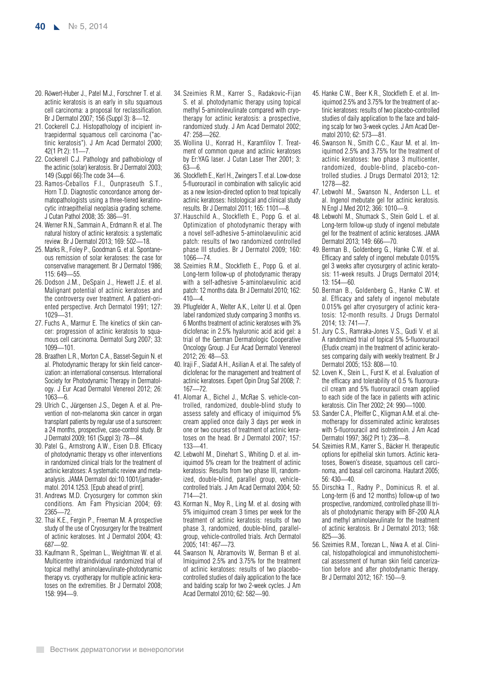- 20. Röwert-Huber J., Patel M.J., Forschner T. et al. actinic keratosis is an early in situ squamous cell carcinoma: a proposal for reclassification. Br J Dermatol 2007; 156 (Suppl 3): 8—12.
- 21. Cockerell C.J. Histopathology of incipient intraepidermal squamous cell carcinoma ("actinic keratosis"). J Am Acad Dermatol 2000; 42(1 Pt 2): 11—7.
- 22. Cockerell C.J. Pathology and pathobiology of the actinic (solar) keratosis. Br J Dermatol 2003; 149 (Suppl 66):The code 34—6.
- 23. Ramos-Ceballos F.I., Ounpraseuth S.T., Horn T.D. Diagnostic concordance among dermatopathologists using a three-tiered keratinocytic intraepithelial neoplasia grading scheme. J Cutan Pathol 2008; 35: 386—91.
- 24. Werner R.N., Sammain A., Erdmann R. et al. The natural history of actinic keratosis: a systematic review. Br J Dermatol 2013; 169: 502—18.
- 25. Marks R., Foley P., Goodman G. et al. Spontaneous remission of solar keratoses: the case for conservative management. Br J Dermatol 1986; 115: 649—55.
- 26. Dodson J.M., DeSpain J., Hewett J.E. et al. Malignant potential of actinic keratoses and the controversy over treatment. A patient-oriented perspective. Arch Dermatol 1991; 127: 1029—31.
- 27. Fuchs A., Marmur E. The kinetics of skin cancer: progression of actinic keratosis to squamous cell carcinoma. Dermatol Surg 2007; 33: 1099—101.
- 28. Braathen L.R., Morton C.A., Basset-Seguin N. et al. Photodynamic therapy for skin field cancerization: an international consensus. International Society for Photodynamic Therapy in Dermatology. J Eur Acad Dermatol Venereol 2012; 26: 1063—6.
- 29. Ulrich C., Jürgensen J.S., Degen A. et al. Prevention of non-melanoma skin cancer in organ transplant patients by regular use of a sunscreen: a 24 months, prospective, case-control study. Br J Dermatol 2009; 161 (Suppl 3): 78—84.
- 30. Patel G., Armstrong A.W., Eisen D.B. Efficacy of photodynamic therapy vs other interventions in randomized clinical trials for the treatment of actinic keratoses: A systematic review and metaanalysis. JAMA Dermatol doi:10.1001/jamadermatol. 2014.1253. [Epub ahead of print].
- 31. Andrews M.D. Cryosurgery for common skin conditions. Am Fam Physician 2004; 69: 2365—72.
- 32. Thai K.E., Fergin P., Freeman M. A prospective study of the use of Cryosurgery for the treatment of actinic keratoses. Int J Dermatol 2004; 43: 687—92.
- 33. Kaufmann R., Spelman L., Weightman W. et al. Multicentre intraindividual randomized trial of topical methyl aminolaevulinate-photodynamic therapy vs. cryotherapy for multiple actinic keratoses on the extremities. Br J Dermatol 2008; 158: 994—9.
- 34. Szeimies R.M., Karrer S., Radakovic-Fijan S. et al. photodynamic therapy using topical methyl 5-aminolevulinate compared with cryotherapy for actinic keratosis: a prospective, randomized study. J Am Acad Dermatol 2002; 47: 258—262.
- 35. Wollina U., Konrad H., Karamfilov T. Treatment of common queue and actinic keratoses by Er:YAG laser. J Cutan Laser Ther 2001; 3: 63—6.
- 36. Stockfleth E., Kerl H., Zwingers T. et al. Low-dose 5-fluorouracil in combination with salicylic acid as a new lesion-directed option to treat topically actinic keratoses: histological and clinical study results. Br J Dermatol 2011; 165: 1101—8.
- 37. Hauschild A., Stockfleth E., Popp G. et al. Optimization of photodynamic therapy with a novel self-adhesive 5-aminolaevulinic acid patch: results of two randomized controlled phase III studies. Br J Dermatol 2009; 160: 1066—74.
- 38. Szeimies R.M., Stockfleth E., Popp G. et al. Long-term follow-up of photodynamic therapy with a self-adhesive 5-aminolaevulinic acid patch: 12 months data. Br J Dermatol 2010; 162:  $410 - 4$ .
- 39. Pflugfelder A., Welter A.K., Leiter U. et al. Open label randomized study comparing 3 months vs. 6 Months treatment of actinic keratoses with 3% diclofenac in 2.5% hyaluronic acid acid gel: a trial of the German Dermatologic Cooperative Oncology Group. J Eur Acad Dermatol Venereol 2012; 26: 48—53.
- 40. Iraji F., Siadat A.H., Asilian A. et al. The safety of diclofenac for the management and treatment of actinic keratoses. Expert Opin Drug Saf 2008; 7: 167—72.
- 41. Alomar A., Bichel J., McRae S. vehicle-controlled, randomized, double-blind study to assess safety and efficacy of imiquimod 5% cream applied once daily 3 days per week in one or two courses of treatment of actinic keratoses on the head. Br J Dermatol 2007; 157: 133—41.
- 42. Lebwohl M., Dinehart S., Whiting D. et al. imiquimod 5% cream for the treatment of actinic keratosis: Results from two phase III, randomized, double-blind, parallel group, vehiclecontrolled trials. J Am Acad Dermatol 2004; 50: 714—21.
- 43. Korman N., Moy R., Ling M. et al. dosing with 5% imiquimod cream 3 times per week for the treatment of actinic keratosis: results of two phase 3, randomized, double-blind, parallelgroup, vehicle-controlled trials. Arch Dermatol 2005; 141: 467—73.
- 44. Swanson N, Abramovits W, Berman B et al. Imiquimod 2.5% and 3.75% for the treatment of actinic keratoses: results of two placebocontrolled studies of daily application to the face and balding scalp for two 2-week cycles. J Am Acad Dermatol 2010; 62: 582—90.
- 45. Hanke C.W., Beer K.R., Stockfleth E. et al. Imiquimod 2.5% and 3.75% for the treatment of actinic keratoses: results of two placebo-controlled studies of daily application to the face and balding scalp for two 3-week cycles. J Am Acad Dermatol 2010; 62: 573—81.
- 46. Swanson N., Smith C.C., Kaur M. et al. Imiquimod 2.5% and 3.75% for the treatment of actinic keratoses: two phase 3 multicenter, randomized, double-blind, placebo-controlled studies. J Drugs Dermatol 2013; 12: 1278—82.
- 47. Lebwohl M., Swanson N., Anderson L.L. et al. Ingenol mebutate gel for actinic keratosis. N Engl J Med 2012; 366: 1010—9.
- 48. Lebwohl M., Shumack S., Stein Gold L. et al. Long-term follow-up study of ingenol mebutate gel for the treatment of actinic keratoses. JAMA Dermatol 2013; 149: 666—70.
- 49. Berman B., Goldenberg G., Hanke C.W. et al. Efficacy and safety of ingenol mebutate 0.015% gel 3 weeks after cryosurgery of actinic keratosis: 11-week results. J Drugs Dermatol 2014; 13: 154—60.
- 50. Berman B., Goldenberg G., Hanke C.W. et al. Efficacy and safety of ingenol mebutate 0.015% gel after cryosurgery of actinic keratosis: 12-month results. J Drugs Dermatol 2014; 13: 741—7.
- 51. Jury C.S., Ramraka-Jones V.S., Gudi V. et al. A randomized trial of topical 5% 5-fluorouracil (Efudix cream) in the treatment of actinic keratoses comparing daily with weekly treatment. Br J Dermatol 2005; 153: 808—10.
- 52. Loven K., Stein L., Furst K. et al. Evaluation of the efficacy and tolerability of 0.5 % fluorouracil cream and 5% fluorouracil cream applied to each side of the face in patients with actinic keratosis. Clin Ther 2002; 24: 990—1000.
- 53. Sander C.A., Pfeiffer C., Kligman A.M. et al. chemotherapy for disseminated actinic keratoses with 5-fluorouracil and isotretinoin. J Am Acad Dermatol 1997; 36(2 Pt 1): 236—8.
- 54. Szeimies R.M., Karrer S., Bäcker H. therapeutic options for epithelial skin tumors. Actinic keratoses, Bowen's disease, squamous cell carcinoma, and basal cell carcinoma. Hautarzt 2005; 56: 430—40.
- 55. Dirschka T., Radny P., Dominicus R. et al. Long-term (6 and 12 months) follow-up of two prospective, randomized, controlled phase III trials of photodynamic therapy with BF-200 ALA and methyl aminolaevulinate for the treatment of actinic keratosis. Br J Dermatol 2013; 168: 825—36.
- 56. Szeimies R.M., Torezan L., Niwa A. et al. Clinical, histopathological and immunohistochemical assessment of human skin field cancerization before and after photodynamic therapy. Br J Dermatol 2012; 167: 150—9.